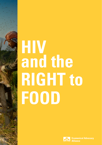# **HIV and the RIGHT to FOOD**

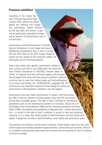## **Promises unfulfilled**

According to the United Nations' Food and Agriculture Organization (FAO), almost one billion people are suffering from hunger and malnutrition. People affected by HIV and AIDS and women in general are particularly vulnerable to hunger, mainly because of discrimination and social exclusion.

Governments committed themselves in the Millennium Declaration to end hunger and poverty (Millennium Development Goal 1) and to combat HIV and AIDS (Goal 6). By 2015 hunger should be halved and the spread of HIV should be halted. Yet these goals are far from being reached.

States have made other specific commitments related to food, nutrition and HIV. In June 2006 under the United Nations Political Declaration on HIV/AIDS, member states resolved "to integrate food and nutritional support, with the goal that all people at all times will have access to sufficient, safe and nutritious food to meet their dietary needs and food preferences, for an active and healthy life" (A/RES/60/262, paragraph 28). This commitment is an important component of their pledge to achieve universal access to HIV prevention, treatment, care and support.

Governments have also made commitments to respect, fulfill and protect the right to food for everyone including people living with HIV and women, among other vulnerable groups. The right to food is included in international agreements such as the International Covenant on Economic, Social and Cultural Rights of the United Nations (1966) and the Universal Declaration on Human Rights (1948). Accessibility and availability of adequate food – without discrimination – is central to the right to food, in addition to access to land and productive resources or to a salary that allows people to feed themselves and their family with dignity. If people are not able to feed themselves, social safety nets should be in place.

The promises are ambitious, but the need is immense. Unmet targets mean lives lost, with untold tragedy and hardship spread throughout families, communities and countries. Advocacy is needed to demand that states keep their promises that are essential for life for hundreds of millions of people.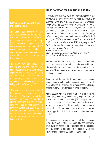#### **EAA's perspectives on HIV and the Right to Food**

#### **Links between food, nutrition and HIV**

"People living with HIV/AIDS do suffer in Uganda in the context of the food crisis. The National Community of Women Living with HIV/AIDS (NACWOLA) in Uganda, which promotes positive living for women with the virus, has warned that HIV-positive patients in eastern Uganda are abandoning their antiretroviral (ARV) treatment 'in droves' because of a lack of food. The group called on the government to do more to tackle the food shortages. "If the government doesn't address the food crisis, many of us who are on ARVs are going to die," Stella, a NACWOLA member from Katakwi district, was quoted as saying on the blog." Excerpt from the Guardian

(http://www.guardian.co.uk/katine/2009/oct/21/food-crisis-hiv aids) on Food and HIV linkages in Uganda

HIV and nutrition are linked not just because adequate nutrition is essential for an individual's physical health; HIV also affects the ability of people to work and provide a sufficient income and resources for their household and community.

Adequate nutrition is vital to maintaining the immune system, improving the body's response to medical treatment, slowing the progression of the disease and giving optimal quality of life for people living with HIV.

Many people who are living with HIV often find out their status when they have already begun to get sick. In some antiretroviral treatment (ART) programmes as many as 33% of first visit clients are unable to walk without assistance. Significant weight loss in people living with HIV has been associated with increased risk of opportunistic infections, complication and early death.1

There is increasing evidence that malnutrition combined with HIV directly influences morbidity and mortality. Thus nutrition needs to be integrated into the package of care, treatment and support for people living with HIV.2 Providing medicines alone is not enough.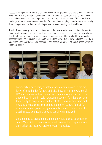Access to adequate nutrition is even more essential for pregnant and breastfeeding mothers living with HIV. If a woman is undernourished, it affects the health of her child. Thus, ensuring that mothers have access to adequate food is a priority in their treatment. This is particularly a challenge when an overwhelming majority of mothers in developing countries are economically disadvantaged and unable to afford adequate replacement feeding for their children.

A lack of food security for someone living with HIV causes further complications beyond individual health. A person in poverty, with limited resources to meet basic needs for themselves or their family, may feel forced to choose between purchasing food for the short term, or purchasing necessary medicine to ensure their health for the long term. Studies have indicated that HIV is catastrophic for poor households because it can absorb 50 percent of annual income through treatment costs.<sup>3</sup>

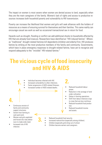The impact on women is most severe when women are denied access to land, especially when they are the main caregivers of the family. Women's lack of rights and access to productive resources increases both household poverty and vulnerability to HIV transmission.

Poverty can increase the likelihood that women and girls will seek alliances with the holders of resources as a means of ensuring survival for themselves and their families. This same reality can encourage casual sex work as well as occasional transactional sex in return for food.

Hazards such as drought, flooding or conflict can add additional shocks to households affected by HIV that are already food insecure. Researchers have identified an "HIV induced famine". Whereas "traditional" drought-related famines kill dependents (children and elderly) first, HIV produces famine by striking at the most productive members of the family and community. Governments, which have in place emergency responses to drought-related famine, have yet to recognize and respond adequately to the "invisible" HIV-related famine.<sup>4</sup>

# **The vicious cycle of food insecurity and HIV & AIDS**

- Individual becomes infected with HIV.
- **1.** Individual becomes infected with HIV.<br> **1.** Increased vulnerability to other infections.<br> **1.** Easter progression of AIDS-related illnesses
	- Faster progression of AIDS-related illnesses.
	- Increased number of AIDS-related deaths.

**3.**

# **4.**

- Continuous erosion of family and community support structures.
- Switch from farming to cash paid work.
- Women and girls exploited and forced into risky behaviours to make ends meet.
- Increased risk of HIV infection.
- Reduced household food security.
- Increased malnutrition (especially among children).

Reduced household labour

Reduced household income

under cultivation. Delays in farming operations. Shift from labour-intensive crops to crops that are less nutritious. Reduced household food produc-

Reduction in the acreage of land

power.

tion.

and assets.

- Children (especially girls) drop out of school.
- Children become earners and caregivers.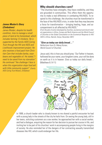#### **James Mudari's Story (Zimbabwe)**

James Mudari, despite his health condition, tries to manage a small piece of land at his homestead, which includes farming 12 chickens. He is supported by the Family AIDS Caring Trust through the HIV and AIDS and Livelihoods improvement project. He also receives a food pack from Christian Care that includes barley, soyabeans and vegetable oil. He stated, "I need to be saved from my starvation". He continued "the challenge I face is when this organization stops food aid with little community support". (Family AIDS Caring Trust-Mutare, Zimbabwe)

### **Why should churches care?**

"The churches have strengths, they have credibility, and they are grounded in communities. This offers them the opportunity to make a real difference in combating HIV/AIDS. To respond to this challenge, the churches must be transformed in the face of the HIV/AIDS crisis, in order that they may become a force for transformation – bringing healing, hope, and accompaniment to all affected by HIV/AIDS."

(From the plan of action developed by churches, ecumenical and church-related organizations in Africa, Europe and North America and the World Council of Churches at the Global Consultation on the Ecumenical Response to HIV/ AIDS in Africa, Nairobi, Kenya, November 2001)

#### **"Give us today our daily bread…"**

Reflections from Dr. Manoj Kurian, World Council of Churches

Jesus said, this is how you should pray: 'Our Father in heaven, hallowed be your name, your kingdom come, your will be done on earth as it is in heaven. Give us today our daily bread… (Matthew 6: 9-11)



In 1999, a church leader who is closely known to me shared a painful encounter he had with a young lady in the streets of the city he hails from. On seeing the young lady, still in her teens, soliciting customers as a sex worker, he approached her with a social worker, and had a dialogue, enquiring the reason for her decision to pursue her course in life, and inviting her to be part of his churches' work in accompanying people living in the margins of society. He also reminded her of the dangers of her contracting sexually transmitted diseases like HIV, which could endanger her life.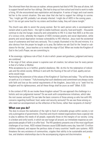She informed them that she was an orphan, whose parents had died of HIV. She was all alone, left to support herself and her four siblings. She had to drop out from school and tried to work to make a living. All she encountered was exploitation and deception. A series of tragic and cruel events led her to the current situation. She was clear that she had to support her siblings to survive. "Yes, I might get HIV, probably I am already infected. I might die of AIDS in the coming years… but if I do not get some food for my sisters and brothers today, they will starve tonight."

The church was able to assist the young woman. But for each person who is accompanied to reclaim what is justly theirs – the right to stable livelihood, security, food and health – thousands continue to slip into hunger, insecurity and vulnerability to HIV. It is clear that AIDS is at the core of a vicious circle, whereby the impacts of AIDS increase poverty and social deprivation, while poverty and social deprivation increase vulnerability to HIV infection. Jesus took the existential issue of sustenance and food very seriously. This is amply illustrated in his life and ministry. It is also obvious from the prayer he taught us to pray. But before we ask God for the 'bread or substance for the day', Jesus teaches us to invoke the reign of God. When we invoke the Kingdom of God in the Lord's Prayer, we are committing to:

• the sovereign, righteous rule of God. A rule in which power and goodness, judgment and mercy are combined.

• the reign of God, whose power is supreme over all creation, but whose love for every person is that of a Father or Mother.

•the acceptance by us in faithful, grateful obedience. We do this for the redemption of individuals and the whole society. Without it and with the flouting of the will of God, apathy and anarchy would reign.

•promoting the extension of the values of the Kingdom of God here and today: "Thy will be done on earth as it is in heaven." Fully knowing that such obedience and commitment are always costly with faith and love as the central requirements of the kingdom, Jesus bids us to "seek first his kingdom and his righteousness, and all these things shall be yours as well" (Matt. 6:33)

In the context of HIV, do we invoke these kingdom values? Do we approach the challenge in a holistic and non-judgmental manner? Do we work with comprehensive initiatives, which take the root causes seriously? Do we take the basic concerns of those among us who live with HIV, concerns regarding livelihood, food, water and security seriously? Do we see those among us who need our accompaniment as the reflection of the Divine, rather than recipients of charity?

# **What can you do?**

The duty to ensure the realization of the right to food of vulnerable groups within society is not only a prerogative of governments. Churches and church-related organizations have a special role to play to address the needs of all people, especially those on the margins of our society. Living in a broken and sinful world, in which we see hunger all around, our immediate response as compassionate people of faith is to offer food. The HIV pandemic presents one of the most significant challenges of our times. AIDS-related illnesses cause 8,000 deaths every day, have left 13 million children orphaned, and expose the perilous state of many countries' health care systems. AIDS threatens the very existence of communities, cripples their ability to be sustainable and productive, and shatters relationships due to the accompanying stigma and discrimination.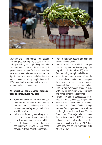

Churches and church-related organizations can take practical steps to ensure food security particularly for people living with HIV. Churches and people of faith can also call governments to account for the promises they have made, and take action to ensure the right to food for all people, including the support and systems to help people living with HIV remain healthy and productive members of their families and communities.

#### **As churches, church-based organizations and individuals you can:**

- Raise awareness of the links between food, nutrition and HIV through sharing this fact sheet and including prayers and sermons addressing hunger and HIV in worship services.
- Hold events, including fundraising activities, to support nutritional projects that actively include people living with HIV.
- Ensure that people living with HIV in your community are involved in home-based care and nutrition education programs.
- Promote voluntary testing and confidential counseling for HIV.
- Initiate or collaborate with income generation programs that involve people living with and affected by HIV, especially families caring for orphaned children.
- Work to empower women within the church and community in order to expand their knowledge and access to resources to support themselves and their families.
- Promote the involvement of people living with HIV in community-wide nutritional and herbal gardens and orchards.
- Include HIV-related perspectives in all food security and livelihood programmes.
- Advocate with governments and donors to support HIV-affected families through targeted food programmes that are based on the right to food, in particular, "Food by Prescription". This project aims to provide food rations alongside ARVs to patients, enhancing better absorption and thus improved, positive effects of ARV drugs in the body, and helping to mitigate sideeffects of  $H1V^5$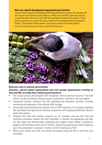#### **How one church development organization got involved**

Lutheran World Federation Mozambique (LWF-Moz) realized the complex links between HIV and nutrition upon discovering that patients on ARVs were not able to take their drugs as required because of the lack of food. LWF-Moz appealed for support from partners, including the government, to support their Gaza, Sofala and Tete Integrated Rural Development Projects. They promote kitchen gardens, food security projects and herbal gardens. (Eva Pinto, Project Manager Urban Projects, LWF/DWS Mozambique)



#### **Advocacy asks to national governments**

#### **Churches, church-related organizations and civil society organizations working on food and HIV can lobby their national governments to:**

- Put in place policies and programs that incorporate nutrition and food security in line with efforts to scale-up towards universal access to prevention, treatment, care and support.
- Incorporate nutrition indicators into HIV monitoring and evaluation activities, including monitoring and evaluation of the national AIDS strategy.
- Ensure agricultural policies and programs that are HIV responsive, for example integrating HIV information into agricultural extension programmes and targeting smallholder farmers, particularly women.
- Integrate HIV, food and nutrition programs by, for example: ensuring that food and nutritional assistance reaches the most vulnerable, is relevant and appropriate and does not fuel stigma and discrimination; expanding such support where needed, including for pregnant and lactating women and for children; emphasizing appropriate infant feeding as part of the prevention of vertical or 'mother-to-child' transmission of HIV.
- Work across sectors and with civil society and people living with HIV to reach the most vulnerable.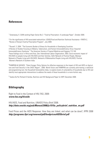# **References**

1 Greenaway, K. GAIN working Paper Series No 2: "Food by Prescription: A Landscape Paper", October 2009.

2 For the significance of HIV-associated malnutrition: USAID/Food and Nutrition Technical Assistance –FANTA-2, "Review of Kenya's Food by Prescription Program", July 2009.

<sup>3</sup> Russell, S. 2004. "The Economic Burden of Illness for Households in Developing Countries: A Review of Studies Focusing on Malaria, Tuberculosis, and Human Immunodeficiency Virus/ Acquired Immunodeficiency Syndrome." The American Society of Tropical Medicine and Hygiene 712:149. These findings occur in Africa and Asia. See: International Labour Organization. 2003, Socio-economic impact of HIV/AIDS on people living with HIV/AIDS and their families, Delhi Network of Positive People, Manipur Network of People Living with HIV/AIDS, Network of Maharashtra People Living with HIV/AIDS, Positive Women's Network of Southern India

4 FANRPAN & SAFAIDS, "Silent Hunger, Policy Options for effective responses to the impact of HIV and AIDS on Agriculture and Food Security in the SADC Region", 2006. World Vision and FANRPAN are currently pilot-testing a statistical and programming tool, the Household Vulnerability Index, to explore levels of vulnerability of households due to HIV and identify most appropriate interventions to address the needs of these households in a more holistic way.

5 Saskia De Pe/ Richard D Semba, Nutrition and HIV Background Paper for WFP, December 2009.

# **Bibliography**

Right to Food in the Context of HIV, FAO, 2009: **www.fao.org/hivaids**

HIV/AIDS, Food and Nutrition, UNAIDS Policy Brief 2008. **http://data.unaids.org/pub/Manual/2008/jc1515a\_policybrief\_nutrition\_en.pdf**

Food Prices and the AIDS Response: How they are linked, and what can be done?, IFPRI 2008 **http://programs.ifpri.org/renewal/pdf/foodpricesAIDSbrief.pdf**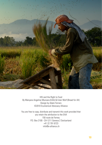

HIV and the Right to Food By Manyara Angeline Munzara (EAA) & Ester Wolf (Bread for All) Design by Adam Ferraro ©2010 Ecumenical Advocacy Alliance

You are free to copy, distribute and transmit this work provided that you retain the attribution to the EAA 150 route de Ferney P.O. Box 2100 - CH-1211 Geneva 2 Switzerland +41 22 791 6723 info@e-alliance.ch